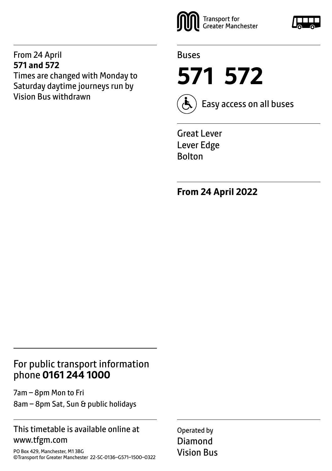#### From 24 April **571 and 572**

Times are changed with Monday to Saturday daytime journeys run by Vision Bus withdrawn





**571 572**



Easy access on all buses

Great Lever Lever Edge Bolton

**From 24 April 2022**

## For public transport information phone **0161 244 1000**

7am – 8pm Mon to Fri 8am – 8pm Sat, Sun & public holidays

### This timetable is available online at www.tfgm.com

PO Box 429, Manchester, M1 3BG ©Transport for Greater Manchester 22-SC-0136–G571–1500–0322 Operated by Diamond Vision Bus

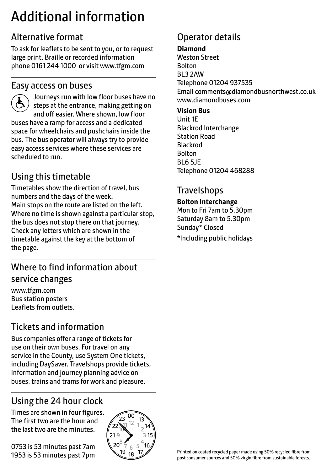# Additional information

# Alternative format

To ask for leaflets to be sent to you, or to request large print, Braille or recorded information phone 0161 244 1000 or visit www.tfgm.com

## Easy access on buses



 Journeys run with low floor buses have no steps at the entrance, making getting on and off easier. Where shown, low floor buses have a ramp for access and a dedicated space for wheelchairs and pushchairs inside the bus. The bus operator will always try to provide easy access services where these services are scheduled to run.

# Using this timetable

Timetables show the direction of travel, bus numbers and the days of the week. Main stops on the route are listed on the left. Where no time is shown against a particular stop, the bus does not stop there on that journey. Check any letters which are shown in the timetable against the key at the bottom of the page.

# Where to find information about service changes

www.tfgm.com Bus station posters Leaflets from outlets.

# Tickets and information

Bus companies offer a range of tickets for use on their own buses. For travel on any service in the County, use System One tickets, including DaySaver. Travelshops provide tickets, information and journey planning advice on buses, trains and trams for work and pleasure.

# Using the 24 hour clock

Times are shown in four figures. The first two are the hour and the last two are the minutes.

0753 is 53 minutes past 7am 1953 is 53 minutes past 7pm



# Operator details

**Diamond**

Weston Street Bolton BL3 2AW Telephone 01204 937535 Email comments@diamondbusnorthwest.co.uk www.diamondbuses.com

**Vision Bus** Unit 1E Blackrod Interchange Station Road Blackrod Bolton BL6 5JE Telephone 01204 468288

## **Travelshops**

#### **Bolton Interchange**

Mon to Fri 7am to 5.30pm Saturday 8am to 5.30pm Sunday\* Closed \*Including public holidays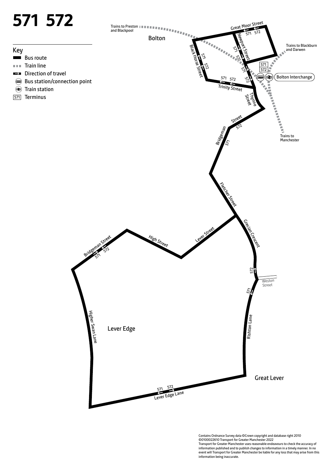

Contains Ordnance Survey data ©Crown copyright and database right 2010 ©0100022610 Transport for Greater Manchester 2022 Transport for Greater Manchester uses reasonable endeavours to check the accuracy of information published and to publish changes to information in a timely manner. In no event will Transport for Greater Manchester be liable for any loss that may arise from this information being inaccurate.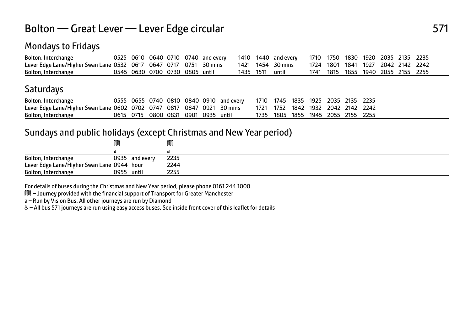## Mondays to Fridays

| Bolton, Interchange                                               |                          |  | 0525 0610 0640 0710 0740 and every |           | 1410 1440 and every | 1710 1750 1830 1920 2035 2135 2235 |      |                               |  |  |
|-------------------------------------------------------------------|--------------------------|--|------------------------------------|-----------|---------------------|------------------------------------|------|-------------------------------|--|--|
| Lever Edge Lane/Higher Swan Lane 0532 0617 0647 0717 0751 30 mins |                          |  |                                    |           | 1421 1454 30 mins   | 1724                               |      | 1801 1841 1927 2042 2142 2242 |  |  |
| Bolton, Interchange                                               | 0545 0630 0700 0730 0805 |  | until                              | 1435 1511 | until               | 1741                               | 1815 | 1855 1940 2055 2155 2255      |  |  |

## **Saturdays**

| Bolton, Interchange                                                    |  |  |                                     | 0555 0655 0740 0810 0840 0910 and every | 1710 1745 1835 1925 2035 2135 2235 |  |  |  |
|------------------------------------------------------------------------|--|--|-------------------------------------|-----------------------------------------|------------------------------------|--|--|--|
| Lever Edge Lane/Higher Swan Lane 0602 0702 0747 0817 0847 0921 30 mins |  |  |                                     |                                         | 1721 1752 1842 1932 2042 2142 2242 |  |  |  |
| Bolton, Interchange                                                    |  |  | 0615 0715 0800 0831 0901 0935 until |                                         | 1735 1805 1855 1945 2055 2155 2255 |  |  |  |

#### Sundays and public holidays (except Christmas and New Year period)

|                                            | M          |                | M    |
|--------------------------------------------|------------|----------------|------|
|                                            |            |                |      |
| Bolton, Interchange                        |            | 0935 and every | 2235 |
| Lever Edge Lane/Higher Swan Lane 0944 hour |            |                | 2244 |
| Bolton, Interchange                        | 0955 until |                | 2255 |

For details of buses during the Christmas and New Year period, please phone 0161 244 1000

M – Journey provided with the financial support of Transport for Greater Manchester

a – Run by Vision Bus. All other journeys are run by Diamond

W– All bus 571 journeys are run using easy access buses. See inside front cover of this leaflet for details